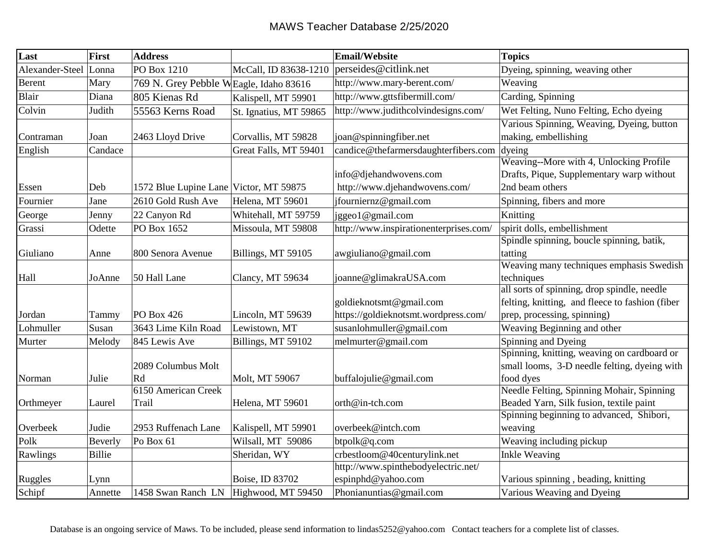| Last            | First         | <b>Address</b>                          |                                               | Email/Website                                                   | <b>Topics</b>                                                                                                                 |
|-----------------|---------------|-----------------------------------------|-----------------------------------------------|-----------------------------------------------------------------|-------------------------------------------------------------------------------------------------------------------------------|
| Alexander-Steel | Lonna         | PO Box 1210                             | McCall, ID 83638-1210   perseides@citlink.net |                                                                 | Dyeing, spinning, weaving other                                                                                               |
| <b>Berent</b>   | Mary          | 769 N. Grey Pebble W Eagle, Idaho 83616 |                                               | http://www.mary-berent.com/                                     | Weaving                                                                                                                       |
| Blair           | Diana         | 805 Kienas Rd                           | Kalispell, MT 59901                           | http://www.gttsfibermill.com/                                   | Carding, Spinning                                                                                                             |
| Colvin          | Judith        | 55563 Kerns Road                        | St. Ignatius, MT 59865                        | http://www.judithcolvindesigns.com/                             | Wet Felting, Nuno Felting, Echo dyeing                                                                                        |
| Contraman       | Joan          | 2463 Lloyd Drive                        | Corvallis, MT 59828                           | joan@spinningfiber.net                                          | Various Spinning, Weaving, Dyeing, button<br>making, embellishing                                                             |
| English         | Candace       |                                         | Great Falls, MT 59401                         | candice@thefarmersdaughterfibers.com                            | dyeing                                                                                                                        |
| Essen           | Deb           | 1572 Blue Lupine Lane Victor, MT 59875  |                                               | info@djehandwovens.com<br>http://www.djehandwovens.com/         | Weaving--More with 4, Unlocking Profile<br>Drafts, Pique, Supplementary warp without<br>2nd beam others                       |
| Fournier        | Jane          | 2610 Gold Rush Ave                      | Helena, MT 59601                              | jfourniernz@gmail.com                                           | Spinning, fibers and more                                                                                                     |
| George          | Jenny         | 22 Canyon Rd                            | Whitehall, MT 59759                           | jggeo1@gmail.com                                                | Knitting                                                                                                                      |
| Grassi          | Odette        | PO Box 1652                             | Missoula, MT 59808                            | http://www.inspirationenterprises.com/                          | spirit dolls, embellishment                                                                                                   |
| Giuliano        | Anne          | 800 Senora Avenue                       | Billings, MT 59105                            | awgiuliano@gmail.com                                            | Spindle spinning, boucle spinning, batik,<br>tatting                                                                          |
| Hall            | JoAnne        | 50 Hall Lane                            | Clancy, MT 59634                              | joanne@glimakraUSA.com                                          | Weaving many techniques emphasis Swedish<br>techniques                                                                        |
| Jordan          | Tammy         | $PO$ Box 426                            | Lincoln, MT 59639                             | goldieknotsmt@gmail.com<br>https://goldieknotsmt.wordpress.com/ | all sorts of spinning, drop spindle, needle<br>felting, knitting, and fleece to fashion (fiber<br>prep, processing, spinning) |
| Lohmuller       | Susan         | 3643 Lime Kiln Road                     | Lewistown, MT                                 | susanlohmuller@gmail.com                                        | Weaving Beginning and other                                                                                                   |
| Murter          | Melody        | 845 Lewis Ave                           | Billings, MT 59102                            | melmurter@gmail.com                                             | Spinning and Dyeing                                                                                                           |
| Norman          | Julie         | 2089 Columbus Molt<br>Rd                | Molt, MT 59067                                | buffalojulie@gmail.com                                          | Spinning, knitting, weaving on cardboard or<br>small looms, 3-D needle felting, dyeing with<br>food dyes                      |
| Orthmeyer       | Laurel        | 6150 American Creek<br>Trail            | Helena, MT 59601                              | orth@in-tch.com                                                 | Needle Felting, Spinning Mohair, Spinning<br>Beaded Yarn, Silk fusion, textile paint                                          |
| Overbeek        | Judie         | 2953 Ruffenach Lane                     | Kalispell, MT 59901                           | overbeek@intch.com                                              | Spinning beginning to advanced, Shibori,<br>weaving                                                                           |
| Polk            | Beverly       | Po Box 61                               | Wilsall, MT 59086                             | btpolk@q.com                                                    | Weaving including pickup                                                                                                      |
| Rawlings        | <b>Billie</b> |                                         | Sheridan, WY                                  | crbestloom@40centurylink.net                                    | <b>Inkle Weaving</b>                                                                                                          |
| Ruggles         | Lynn          |                                         | Boise, ID 83702                               | http://www.spinthebodyelectric.net/<br>espinphd@yahoo.com       | Various spinning, beading, knitting                                                                                           |
| Schipf          | Annette       | 1458 Swan Ranch LN                      | Highwood, MT 59450                            | Phonianuntias@gmail.com                                         | Various Weaving and Dyeing                                                                                                    |